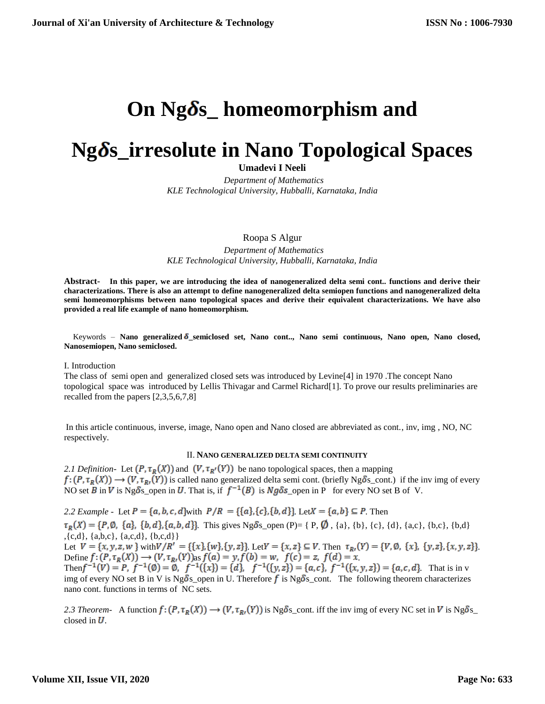# **On Ngδs\_homeomorphism and**

# **Ng** *S*<sub>**s**</sub> irresolute in Nano Topological Spaces

**Umadevi I Neeli**

 *Department of Mathematics KLE Technological University, Hubballi, Karnataka, India*

Roopa S Algur

 *Department of Mathematics KLE Technological University, Hubballi, Karnataka, India*

**Abstract- In this paper, we are introducing the idea of nanogeneralized delta semi cont.. functions and derive their characterizations. There is also an attempt to define nanogeneralized delta semiopen functions and nanogeneralized delta semi homeomorphisms between nano topological spaces and derive their equivalent characterizations. We have also provided a real life example of nano homeomorphism.**

Keywords - Nano generalized  $\delta$ \_semiclosed set, Nano cont.., Nano semi continuous, Nano open, Nano closed, **Nanosemiopen, Nano semiclosed.**

I. Introduction

The class of semi open and generalized closed sets was introduced by Levine[4] in 1970 .The concept Nano topological space was introduced by Lellis Thivagar and Carmel Richard[1]. To prove our results preliminaries are recalled from the papers [2,3,5,6,7,8]

In this article continuous, inverse, image, Nano open and Nano closed are abbreviated as cont., inv, img , NO, NC respectively.

### II. **NANO GENERALIZED DELTA SEMI CONTINUITY**

2.1 Definition- Let  $(P, \tau_R(X))$  and  $(V, \tau_{R'}(Y))$  be nano topological spaces, then a mapping  $f:(P,\tau_R(X)) \to (V,\tau_{R}(Y))$  is called nano generalized delta semi cont. (briefly Ng $\delta$ s\_cont.) if the inv img of every NO set  $\overline{B}$  in  $\overline{V}$  is Ng  $\delta$ s open in U. That is, if  $f^{-1}(B)$  is Ng  $\delta$ s open in P for every NO set B of V.

2.2 *Example* - Let  $P = \{a, b, c, d\}$  with  $P/R = \{\{a\}, \{c\}, \{b, d\}\}\$ . Let  $X = \{a, b\} \subseteq P$ . Then  $\tau_R(X) = \{P, \emptyset, \{a\}, \{b, d\}, \{a, b, d\}\}\$ . This gives Ng  $\delta$ s\_open (P)= { P,  $\emptyset$ , {a}, {b}, {c}, {d}, {a,c}, {b,c}, {b,d} ,{c,d}, {a,b,c}, {a,c,d}, {b,c,d}} Let  $V = \{x, y, z, w\}$  with  $V/R' = \{\{x\}, \{w\}, \{y, z\}\}\$ . Let  $V = \{x, z\} \subseteq V$ . Then  $\tau_{R'}(Y) = \{V, \emptyset, \{x\}, \{y, z\}, \{x, y, z\}\}\$ Define  $f: (P, \tau_R(X)) \to (V, \tau_{R}(Y))$  as  $f(a) = y, f(b) = w, f(c) = z, f(d) = x$ . Then  $f^{-1}(V) = P$ ,  $f^{-1}(\emptyset) = \emptyset$ ,  $f^{-1}(\{x\}) = \{d\}$ ,  $f^{-1}(\{y, z\}) = \{a, c\}$ ,  $f^{-1}(\{x, y, z\}) = \{a, c, d\}$ . That is in v img of every NO set B in V is Ng  $\delta$ s\_open in U. Therefore f is Ng $\delta$ s\_cont. The following theorem characterizes nano cont. functions in terms of NC sets.

2.3 Theorem- A function  $f: (P, \tau_R(X)) \to (V, \tau_R(Y))$  is Ng  $\delta$  cont. iff the inv img of every NC set in V is Ng  $\delta$  s\_ closed in  $U$ .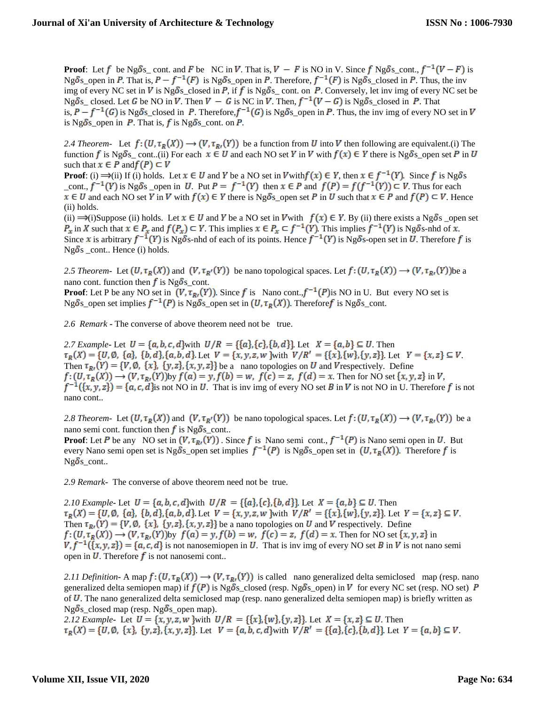**Proof:** Let f be Ng $\delta$ s\_cont. and F be NC in V. That is,  $V - F$  is NO in V. Since f Ng $\delta$ s\_cont.,  $f^{-1}(V - F)$  is Ng  $\delta$ s\_open in P. That is,  $P - f^{-1}(F)$  is Ng  $\delta$ s\_open in P. Therefore,  $f^{-1}(F)$  is Ng  $\delta$ s\_closed in P. Thus, the inv img of every NC set in V is Ng $\delta$ s\_closed in P, if f is Ng $\delta$ s\_cont. on P. Conversely, let inv img of every NC set be Ng $\delta$ s\_closed. Let G be NO in V. Then  $V - G$  is NC in V. Then,  $f^{-1}(V - G)$  is Ng $\delta$ s\_closed in P. That is,  $P - f^{-1}(G)$  is Ng  $\delta$ s\_closed in P. Therefore,  $f^{-1}(G)$  is Ng  $\delta$ s\_open in P. Thus, the inv img of every NO set in V is Ng $\delta$ s\_open in  $P$ . That is,  $f$  is Ng $\delta$ s\_cont. on  $P$ .

2.4 Theorem-Let  $f: (U, \tau_R(X)) \to (V, \tau_R(Y))$  be a function from U into V then following are equivalent.(i) The function f is Ng  $\delta$ s cont..(ii) For each  $x \in U$  and each NO set Y in V with  $f(x) \in Y$  there is Ng  $\delta$ s open set P in U such that  $x \in P$  and  $f(P) \subset V$ 

**Proof**: (i)  $\Rightarrow$  (ii) If (i) holds. Let  $x \in U$  and Y be a NO set in V with  $f(x) \in Y$ , then  $x \in f^{-1}(Y)$ . Since f is Ng  $\delta s$ \_cont.,  $f^{-1}(Y)$  is Ng $\delta$ s \_open in U. Put  $P = f^{-1}(Y)$  then  $x \in P$  and  $f(P) = f(f^{-1}(Y)) \subset V$ . Thus for each  $x \in U$  and each NO set Y in V with  $f(x) \in Y$  there is Ng  $\delta s$  open set P in U such that  $x \in P$  and  $f(P) \subset V$ . Hence (ii) holds.

(ii)  $\Rightarrow$  (i)Suppose (ii) holds. Let  $x \in U$  and Y be a NO set in V with  $f(x) \in Y$ . By (ii) there exists a Ng  $\delta s$  open set  $P_x$  in X such that  $x \in P_x$  and  $f(P_x) \subset Y$ . This implies  $x \in P_x \subset f^{-1}(Y)$ . This implies  $f^{-1}(Y)$  is Ng  $\delta$ s-nhd of  $x$ . Since x is arbitrary  $f^{-1}(Y)$  is Ng  $\delta$ s-nhd of each of its points. Hence  $f^{-1}(Y)$  is Ng  $\delta$ s-open set in  $\tilde{U}$ . Therefore f is  $Ng\delta s$  \_cont.. Hence (i) holds.

2.5 Theorem- Let  $(U, \tau_R(X))$  and  $(V, \tau_{R'}(Y))$  be nano topological spaces. Let  $f: (U, \tau_R(X)) \to (V, \tau_{R'}(Y))$  be a nano cont. function then f is Ng $\delta$ s\_cont.

**Proof**: Let P be any NO set in  $(V, \tau_R, (Y))$ . Since f is Nano cont.,  $f^{-1}(P)$  is NO in U. But every NO set is Ng $\delta$ s\_open set implies  $f^{-1}(P)$  is Ng $\delta$ s\_open set in  $(U, \tau_R(X))$ . Therefore is Ng $\delta$ s\_cont.

*2.6 Remark* **-** The converse of above theorem need not be true.

2.7 Example - Let  $U = \{a, b, c, d\}$  with  $U/R = \{\{a\}, \{c\}, \{b, d\}\}\$  Let  $X = \{a, b\} \subseteq U$ . Then  $\tau_R(X) = \{U, \emptyset, \{a\}, \{b, d\}, \{a, b, d\}.$  Let  $V = \{x, y, z, w\}$  with  $V/R' = \{\{x\}, \{w\}, \{y, z\}\}.$  Let  $Y = \{x, z\} \subseteq V$ . Then  $\tau_{R}(Y) = \{V, \emptyset, \{x\}, \{y, z\}, \{x, y, z\}\}\$ be a nano topologies on U and V respectively. Define  $f:(U,\tau_R(X))\to (V,\tau_{R}(Y))$  by  $f(a)=y$ ,  $f(b)=w$ ,  $f(c)=z$ ,  $f(d)=x$ . Then for NO set  $\{x,y,z\}$  in V,  $f^{-1}(\{x, y, z\}) = \{a, c, d\}$  is not NO in U. That is inv img of every NO set B in V is not NO in U. Therefore f is not nano cont..

2.8 Theorem- Let  $(U, \tau_R(X))$  and  $(V, \tau_{R'}(Y))$  be nano topological spaces. Let  $f: (U, \tau_R(X)) \to (V, \tau_{R'}(Y))$  be a nano semi cont. function then f is Ng $\delta$ s\_cont..

**Proof:** Let P be any NO set in  $(V, \tau_{R}(\overline{Y}))$ . Since f is Nano semi cont.,  $f^{-1}(P)$  is Nano semi open in U. But every Nano semi open set is Ng  $\delta s$  open set implies  $f^{-1}(P)$  is Ng  $\delta s$  open set in  $(U, \tau_R(X))$ . Therefore f is  $Ng\delta s_{\rm \_cont.}.$ 

*2.9 Remark***-** The converse of above theorem need not be true.

*2.10 Example* Let  $U = \{a, b, c, d\}$  with  $U/R = \{\{a\}, \{c\}, \{b, d\}\}\$ . Let  $X = \{a, b\} \subseteq U$ . Then  $\tau_R(X) = \{U, \emptyset, \{a\}, \{b, d\}, \{a, b, d\}.$  Let  $V = \{x, y, z, w\}$  with  $V/R' = \{\{x\}, \{w\}, \{y, z\}\}.$  Let  $Y = \{x, z\} \subseteq V$ . Then  $\tau_{R}(Y) = \{V, \emptyset, \{x\}, \{y, z\}, \{x, y, z\}\}\$  be a nano topologies on U and V respectively. Define  $f:(U,\tau_R(X))\to (V,\tau_{R}(Y))$  by  $f(a)=y$ ,  $f(b)=w$ ,  $f(c)=z$ ,  $f(d)=x$ . Then for NO set  $\{x,y,z\}$  in  $V, f^{-1}(\{x, y, z\}) = \{a, c, d\}$  is not nanosemiopen in U. That is inv img of every NO set B in V is not nano semi open in  $U$ . Therefore  $f$  is not nanosemi cont..

2.11 Definition A map  $f: (U, \tau_R(X)) \to (V, \tau_R(Y))$  is called nano generalized delta semiclosed map (resp. nano generalized delta semiopen map) if  $f(P)$  is Ng $\delta$ s\_closed (resp. Ng $\delta$ s\_open) in V for every NC set (resp. NO set) P of U. The nano generalized delta semiclosed map (resp. nano generalized delta semiopen map) is briefly written as  $Ng\delta s$  closed map (resp. Ng $\delta s$  open map).

2.12 *Example* Let  $U = \{x, y, z, w\}$  with  $U/R = \{\{x\}, \{w\}, \{y, z\}\}$ . Let  $X = \{x, z\} \subseteq U$ . Then  $\tau_R(X) = \{U, \emptyset, \{x\}, \{y, z\}, \{x, y, z\}\}\.$  Let  $V = \{a, b, c, d\}$  with  $V/R' = \{\{a\}, \{c\}, \{b, d\}\}\.$  Let  $Y = \{a, b\} \subseteq V$ .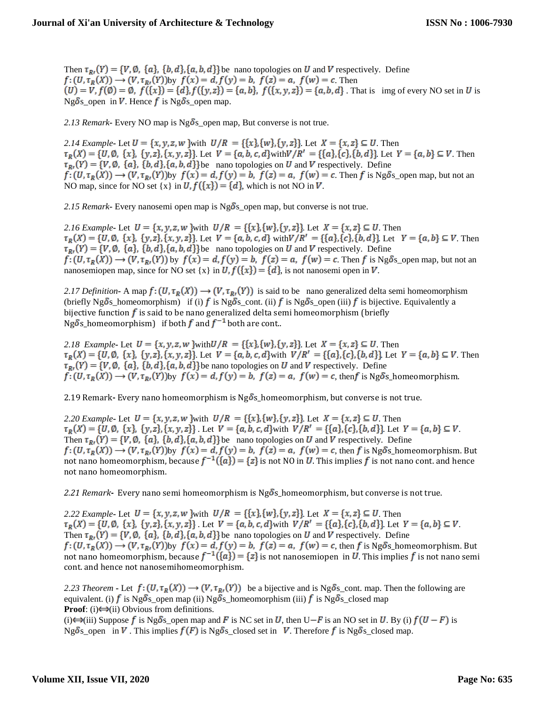Then  $\tau_{B}(Y) = \{V, \emptyset, \{a\}, \{b, d\}, \{a, b, d\}\}$  be nano topologies on U and V respectively. Define  $f:(U,\tau_R(X))\to (V,\tau_{R}(Y))$ by  $f(x)=d, f(y)=b, f(z)=a, f(w)=c$ . Then  $U(u) = V, f(\phi) = \emptyset, f(\lbrace x \rbrace) = \lbrace d \rbrace, f(\lbrace y, z \rbrace) = \lbrace a, b \rbrace, f(\lbrace x, y, z \rbrace) = \lbrace a, b, d \rbrace$ . That is img of every NO set in U is Ng $\delta$ s\_open in  $V$ . Hence  $f$  is Ng $\delta$ s\_open map.

2.13 Remark**-** Every NO map is  $Ng\delta s$  open map, But converse is not true.

2.14 Example<sub>r</sub> Let  $U = \{x, y, z, w\}$  with  $U/R = \{\{x\}, \{w\}, \{y, z\}\}\$ . Let  $X = \{x, z\} \subseteq U$ . Then  $\tau_R(X) = \{U, \emptyset, \{x\}, \{y, z\}, \{x, y, z\}\}\.$  Let  $V = \{a, b, c, d\}$  with  $V/R' = \{\{a\}, \{c\}, \{b, d\}\}\.$  Let  $Y = \{a, b\} \subseteq V$ . Then  $\tau_{R}(Y) = \{V, \emptyset, \{a\}, \{b, d\}, \{a, b, d\}\}\$ be nano topologies on U and V respectively. Define  $f: (U, \tau_R(X)) \to (V, \tau_R(Y))$  by  $f(x) = d$ ,  $f(y) = b$ ,  $f(z) = a$ ,  $f(w) = c$ . Then f is Ng  $\delta s$  open map, but not an NO map, since for NO set  $\{x\}$  in  $U$ ,  $f(\{x\}) = \{d\}$ , which is not NO in V.

2.15 Remark**-** Every nanosemi open map is  $Ng\delta s$  open map, but converse is not true.

2.16 Example<sub>r</sub> Let  $U = \{x, y, z, w\}$  with  $U/R = \{\{x\}, \{w\}, \{y, z\}\}$ . Let  $X = \{x, z\} \subseteq U$ . Then  $\tau_R(X) = \{U, \emptyset, \{x\}, \{y, z\}, \{x, y, z\}\}\.$  Let  $V = \{a, b, c, d\}$  with  $V/R' = \{\{a\}, \{c\}, \{b, d\}\}\.$  Let  $Y = \{a, b\} \subseteq V$ . Then  $\tau_{R}(Y) = \{V, \emptyset, \{a\}, \{b, d\}, \{a, b, d\}\}\$ be nano topologies on U and V respectively. Define  $f:(U,\tau_R(X))\to (V,\tau_R(Y))$  by  $f(x)=d, f(y)=b, f(z)=a, f(w)=c$ . Then f is Ng $\delta$ s\_open map, but not an nanosemiopen map, since for NO set {x} in  $U, f({x}) = {d}$ , is not nanosemi open in V.

2.17 Definition **-** A map  $f: (U, \tau_R(X)) \to (V, \tau_R(Y))$  is said to be nano generalized delta semi homeomorphism (briefly Ng  $\delta_s$  homeomorphism) if (i) f is Ng  $\delta_s$  cont. (ii) f is Ng  $\delta_s$  open (iii) f is bijective. Equivalently a bijective function  $f$  is said to be nano generalized delta semi homeomorphism (briefly Ng $\delta$ s\_homeomorphism) if both  $f$  and  $f^{-1}$  both are cont..

2.18 *Example* Let  $U = \{x, y, z, w\}$  with  $U/R = \{\{x\}, \{w\}, \{y, z\}\}\$ . Let  $X = \{x, z\} \subseteq U$ . Then  $\tau_R(X) = \{U, \emptyset, \{x\}, \{y, z\}, \{x, y, z\}\}\.$  Let  $V = \{a, b, c, d\}$  with  $V/R' = \{\{a\}, \{c\}, \{b, d\}\}\.$  Let  $Y = \{a, b\} \subseteq V$ . Then  $\tau_{R}(Y) = \{V, \emptyset, \{a\}, \{b, d\}, \{a, b, d\}\}\$ be nano topologies on U and V respectively. Define  $f: (U, \tau_R(X)) \to (V, \tau_{R}(Y))$ by  $f(x) = d$ ,  $f(y) = b$ ,  $f(z) = a$ ,  $f(w) = c$ , then f is Ng  $\delta$ s\_homeomorphism.

2.19 Remark-Every nano homeomorphism is Ngo<sup>s</sup> homeomorphism, but converse is not true.

2.20 Example<sub>r</sub> Let  $U = \{x, y, z, w\}$  with  $U/R = \{\{x\}, \{w\}, \{y, z\}\}$ . Let  $X = \{x, z\} \subseteq U$ . Then  $\tau_R(X) = \{U, \emptyset, \{x\}, \{y, z\}, \{x, y, z\}\}\.$  Let  $V = \{a, b, c, d\}$  with  $V/R' = \{\{a\}, \{c\}, \{b, d\}\}\.$  Let  $Y = \{a, b\} \subseteq V$ . Then  $\tau_{R}(Y) = \{V, \emptyset, \{a\}, \{b, d\}, \{a, b, d\}\}$  be nano topologies on U and V respectively. Define  $f: (U, \tau_R(X)) \to (V, \tau_{R}(Y))$  by  $f(x) = d$ ,  $f(y) = b$ ,  $f(z) = a$ ,  $f(w) = c$ , then f is Ng  $\delta s$  homeomorphism. But not nano homeomorphism, because  $f^{-1}(\{a\}) = \{z\}$  is not NO in U. This implies f is not nano cont. and hence not nano homeomorphism.

2.21 Remark- Every nano semi homeomorphism is Ngo<sup>S</sup>s\_homeomorphism, but converse is not true.

2.22 *Example* Let  $U = \{x, y, z, w\}$  with  $U/R = \{\{x\}, \{w\}, \{y, z\}\}\$ . Let  $X = \{x, z\} \subseteq U$ . Then  $\tau_R(X) = \{U, \emptyset, \{x\}, \{y, z\}, \{x, y, z\}\}\$ . Let  $V = \{a, b, c, d\}$  with  $V/R' = \{\{a\}, \{c\}, \{b, d\}\}\$ . Let  $Y = \{a, b\} \subseteq V$ . Then  $\tau_{R}(Y) = \{V, \emptyset, \{a\}, \{b, d\}, \{a, b, d\}\}\$ be nano topologies on U and V respectively. Define  $f: (U, \tau_R(X)) \to (V, \tau_{R}(Y))$  by  $f(x) = d$ ,  $f(y) = b$ ,  $f(z) = a$ ,  $f(w) = c$ , then f is Ng  $\delta s$  homeomorphism. But not nano homeomorphism, because  $f^{-1}(\{a\}) = \{z\}$  is not nanosemiopen in U. This implies f is not nano semi cont. and hence not nanosemihomeomorphism.

2.23 Theorem **-** Let  $f: (U, \tau_R(X)) \to (V, \tau_R(Y))$  be a bijective and is Ng  $\delta_{S_{\text{c}}}$  cont. map. Then the following are equivalent. (i) f is Ng $\delta$ s\_open map (ii) Ng $\delta$ s\_homeomorphism (iii) f is Ng $\delta$ s\_closed map **Proof**: (i) $\leftrightarrow$ (ii) Obvious from definitions.

(i)  $\ominus$  (iii) Suppose f is Ng  $\delta$  s\_open map and F is NC set in U, then U–F is an NO set in U. By (i)  $f(U - F)$  is Ng  $\delta$ s open in  $V$ . This implies  $f(F)$  is Ng  $\delta$ s\_closed set in  $V$ . Therefore  $f$  is Ng  $\delta$ s\_closed map.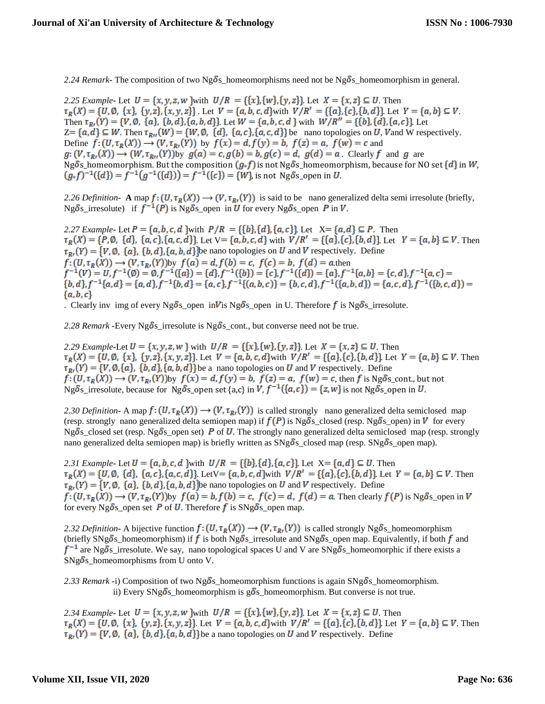2.24 Remark**-** The composition of two Ng  $\delta$ s homeomorphisms need not be Ng  $\delta$ s homeomorphism in general.

2.25 Example<sub>r</sub> Let  $U = \{x, y, z, w\}$  with  $U/R = \{\{x\}, \{w\}, \{y, z\}\}\$ . Let  $X = \{x, z\} \subseteq U$ . Then  $\tau_R(X) = \{U, \emptyset, \{x\}, \{y, z\}, \{x, y, z\}\}\.$  Let  $V = \{a, b, c, d\}$  with  $V/R' = \{\{a\}, \{c\}, \{b, d\}\}\.$  Let  $Y = \{a, b\} \subseteq V$ . Then  $\tau_{R}(Y) = \{V, \emptyset, \{a\}, \{b, d\}, \{a, b, d\}\}\$ . Let  $W = \{a, b, c, d\}$  with  $W/R'' = \{\{b\}, \{d\}, \{a, c\}\}\$ . Let  $Z = \{a,d\} \subseteq W$ . Then  $\tau_{R_U}(W) = \{W, \emptyset, \{d\}, \{a,c\}, \{a,c,d\}\}\$ be nano topologies on U, V and W respectively. Define  $f: (U, \tau_R(X)) \to (V, \tau_{R}(Y))$  by  $f(x) = d, f(y) = b, f(z) = a, f(w) = c$  and  $g: (V, \tau_{R}(X)) \to (W, \tau_{R}(Y))$  by  $g(a) = c$ ,  $g(b) = b$ ,  $g(c) = d$ ,  $g(d) = a$ . Clearly f and g are Ng  $\delta$ s\_homeomorphism. But the composition  $(g \cdot f)$  is not Ng  $\delta$ s\_homeomorphism, because for NO set  $\{d\}$  in W,  $(g \circ f)^{-1}(\{d\}) = f^{-1}(g^{-1}(\{d\})) = f^{-1}(\{c\}) = \{W\}$ , is not Ng $\delta$ s\_open in U.

2.26 Definition **- A** map  $f: (U, \tau_R(X)) \to (V, \tau_R(Y))$  is said to be nano generalized delta semi irresolute (briefly, Ng $\delta$ s\_irresolute) if  $f^{-1}(P)$  is Ng $\delta$ s\_open in U for every Ng $\delta$ s\_open P in V.

2.27 Example<sub>r</sub> Let  $P = \{a, b, c, d\}$  with  $P/R = \{\{b\}, \{d\}, \{a, c\}\}\$ Let  $X = \{a, d\} \subseteq P$ . Then  $\tau_R(X) = \{P, \emptyset, \{d\}, \{a, c\}, \{a, c, d\}\}\.$  Let  $V = \{a, b, c, d\}$  with  $V/R' = \{\{a\}, \{c\}, \{b, d\}\}\.$  Let  $Y = \{a, b\} \subseteq V$ . Then  $\tau_{R}(Y) = \{V, \emptyset, \{a\}, \{b, d\}, \{a, b, d\}\}\$ be nano topologies on U and V respectively. Define  $f: (U, \tau_R(X)) \to (V, \tau_R, (Y))$ by  $f(a) = d, f(b) = c, f(c) = b, f(d) = a$ .then<br>  $f^{-1}(V) = U, f^{-1}(0) = 0, f^{-1}(\{a\}) = \{d\}, f^{-1}(\{b\}) = \{c\}, f^{-1}(\{d\}) = \{a\}, f^{-1}\{a, b\} = \{c, d\}, f^{-1}\{a, c\} =$  ${b,d}, f^{-1}{a,d} = {a,d}, f^{-1}{b,d} = {a,c}, f^{-1}{a,b,c} = {b,c,d}, f^{-1}{a,b,d} = {a,c,d}, f^{-1}{b,c,d} = {b,c,d}$  ${a,b,c}$ 

. Clearly inv img of every Ng  $\delta$ s open in V is Ng  $\delta$ s open in U. Therefore f is Ng  $\delta$ s irresolute.

2.28 Remark **-**Every Ng  $\delta$ s irresolute is Ng  $\delta$ s cont., but converse need not be true.

2.29 Example-Let  $U = \{x, y, z, w\}$  with  $U/R = \{\{x\}, \{w\}, \{y, z\}\}\$ . Let  $X = \{x, z\} \subseteq U$ . Then  $\tau_R(X) = \{U, \emptyset, \{x\}, \{y, z\}, \{x, y, z\}\}\.$  Let  $V = \{a, b, c, d\}$  with  $V/R' = \{\{a\}, \{c\}, \{b, d\}\}\.$  Let  $Y = \{a, b\} \subseteq V$ . Then  $\tau_{B}(Y) = \{V, \emptyset, \{a\}, \{b, d\}, \{a, b, d\}\}$  be a nano topologies on U and V respectively. Define  $f: (U, \tau_R(X)) \to (V, \tau_{R}(Y))$  by  $f(x) = d, f(y) = b, f(z) = a, f(w) = c$ , then f is Ng  $\delta$ s\_cont., but not Ng $\delta$ s\_irresolute, because for Ng $\delta$ s\_open set {a,c} in  $V$ ,  $f^{-1}(\lbrace a,c \rbrace) = \lbrace z,w \rbrace$  is not Ng $\delta$ s\_open in U.

2.30 Definition **-** A map  $f: (U, \tau_R(X)) \to (V, \tau_R(Y))$  is called strongly nano generalized delta semiclosed map (resp. strongly nano generalized delta semiopen map) if  $f(P)$  is Ng $\delta$ s\_closed (resp. Ng $\delta$ s\_open) in V for every Ng  $\delta s$  closed set (resp. Ng  $\delta s$  open set) P of U. The strongly nano generalized delta semiclosed map (resp. strongly nano generalized delta semiopen map) is briefly written as  $SNg\delta s$ <sub>closed map (resp.  $SNg\delta s$  open map).</sub>

2.31 Example **-** Let  $U = \{a, b, c, d\}$  with  $U/R = \{\{b\}, \{d\}, \{a, c\}\}\$ . Let  $X = \{a, d\} \subseteq U$ . Then  $\tau_R(X) = \{U, \emptyset, \{d\}, \{a, c\}, \{a, c, d\}\}\$ . Let  $V = \{a, b, c, d\}$  with  $V/R' = \{\{a\}, \{c\}, \{b, d\}\}\$ . Let  $Y = \{a, b\} \subseteq V$ . Then  $\tau_{R}(Y) = \{V, \emptyset, \{a\}, \{b, d\}, \{a, b, d\}\}\$ be nano topologies on U and V respectively. Define  $f:(U,\tau_R(X))\to (V,\tau_{R}(Y))$ by  $f(a)=b, f(b)=c, f(c)=d, f(d)=a$ . Then clearly  $f(P)$  is Ng $\delta$ s\_open in V for every Ng $\delta$ s\_open set P of U. Therefore f is SNg $\delta$ s\_open map.

2.32 Definition **-** A bijective function  $f: (U, \tau_R(X)) \to (V, \tau_R(Y))$  is called strongly Ng  $\delta$ s\_homeomorphism (briefly SNg  $\delta_s$  homeomorphism) if f is both Ng  $\delta_s$  irresolute and SNg  $\delta_s$  open map. Equivalently, if both f and  $f^{-1}$  are Ng $\delta$ s\_irresolute. We say, nano topological spaces U and V are SNg $\delta$ s\_homeomorphic if there exists a  $SNg\delta s_{\text{}}$  homeomorphisms from U onto V.

2.33 Remark **-**i) Composition of two Ng  $\delta$ s\_homeomorphism functions is again SNg  $\delta$ s\_homeomorphism. ii) Every SNg $\delta$ s\_homeomorphism is g $\delta$ s\_homeomorphism. But converse is not true.

2.34 Example Let  $U = \{x, y, z, w\}$  with  $U/R = \{\{x\}, \{w\}, \{y, z\}\}\$ . Let  $X = \{x, z\} \subseteq U$ . Then  $\tau_R(X) = \{U, \emptyset, \{x\}, \{y, z\}, \{x, y, z\}\}\$ . Let  $V = \{a, b, c, d\}$  with  $V/R' = \{\{a\}, \{c\}, \{b, d\}\}\$ . Let  $Y = \{a, b\} \subseteq V$ . Then  $\tau_{R}(Y) = \{V, \emptyset, \{a\}, \{b, d\}, \{a, b, d\}\}\$ be a nano topologies on U and V respectively. Define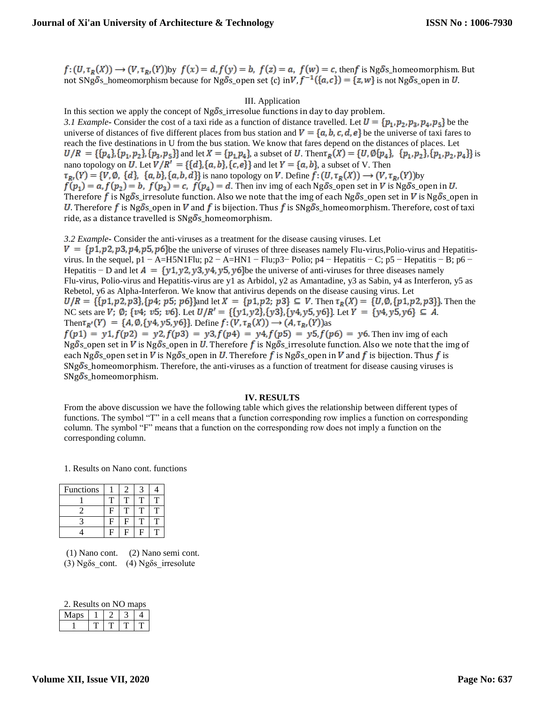$f: (U, \tau_R(X)) \to (V, \tau_R(Y))$  by  $f(x) = d$ ,  $f(y) = b$ ,  $f(z) = a$ ,  $f(w) = c$ , then f is Ng  $\delta s$  homeomorphism. But not SNg $\delta$ s\_homeomorphism because for Ng $\delta$ s\_open set {c} in $V$ ,  $f^{-1}(\{a,c\}) = \{z,w\}$  is not Ng $\delta$ s\_open in U.

#### III. Application

In this section we apply the concept of  $Ng\delta s$ \_irresolue functions in day to day problem. *3.1 Example* Consider the cost of a taxi ride as a function of distance travelled. Let  $U = \{p_1, p_2, p_3, p_4, p_5\}$  be the universe of distances of five different places from bus station and  $V = \{a, b, c, d, e\}$  be the universe of taxi fares to reach the five destinations in U from the bus station. We know that fares depend on the distances of places. Let  $U/R = \{\{p_4\}, \{p_1, p_2\}, \{p_3, p_5\}\}\$ and let  $X = \{p_1, p_4\}$ , a subset of U. Then  $\tau_R(X) = \{U, \emptyset\{p_4\}, \{p_1, p_2\}, \{p_1, p_2, p_4\}\}\$ is nano topology on U. Let  $V/R' = \{\{d\}, \{a, b\}, \{c, e\}\}\$ and let  $Y = \{a, b\}$ , a subset of V. Then  $\tau_{R}(Y) = \{V, \emptyset, \{d\}, \{a, b\}, \{a, b, d\}\}\$ is nano topology on V. Define  $f: (U, \tau_R(X)) \to (V, \tau_{R}(Y))$ by  $f(p_1) = a, f(p_2) = b, f(p_3) = c, f(p_4) = d.$  Then inv img of each Ng  $\delta s$  open set in V is Ng  $\delta s$  open in U. Therefore f is Ng  $\delta$ s\_irresolute function. Also we note that the img of each Ng  $\delta$ s\_open set in V is Ng  $\delta$ s\_open in U. Therefore f is Ng $\delta s$  open in V and f is bijection. Thus f is SNg $\delta s$  homeomorphism. Therefore, cost of taxi ride, as a distance travelled is  $\text{SNg}\delta s$ <sub>-</sub>homeomorphism.

*3.2 Example***-** Consider the anti-viruses as a treatment for the disease causing viruses. Let  $V = \{p1, p2, p3, p4, p5, p6\}$ be the universe of viruses of three diseases namely Flu-virus,Polio-virus and Hepatitisvirus. In the sequel, p1 – A=H5N1Flu; p2 – A=HN1 – Flu;p3– Polio; p4 – Hepatitis – C; p5 – Hepatitis – B; p6 – Hepatitis – D and let  $A = \{y_1, y_2, y_3, y_4, y_5, y_6\}$  be the universe of anti-viruses for three diseases namely Flu-virus, Polio-virus and Hepatitis-virus are y1 as Arbidol, y2 as Amantadine, y3 as Sabin, y4 as Interferon, y5 as Rebetol, y6 as Alpha-Interferon. We know that antivirus depends on the disease causing virus. Let  $U/R = \{ \{p1, p2, p3\}, \{p4, p5, p6\} \}$ and let  $X = \{p1, p2, p3\} \subseteq V$ . Then  $\tau_R(X) = \{U, \emptyset, \{p1, p2, p3\}\}$ . Then the NC sets are V;  $\emptyset$ ; {v4; v5; v6}. Let  $U/R' = \{\{y1, y2\}, \{y3\}, \{y4, y5, y6\}\}\.$  Let  $Y = \{y4, y5, y6\} \subseteq A$ . Then  $\tau_{R'}(Y) = \{A, \emptyset, \{y4, y5, y6\}\}\$ . Define  $f: (V, \tau_R(X)) \to (A, \tau_{R'}(Y))$ as  $f(p1) = y1, f(p2) = y2, f(p3) = y3, f(p4) = y4, f(p5) = y5, f(p6) = y6$ . Then inv img of each Ng $\delta$ s\_open set in  $V$  is Ng $\delta$ s\_open in  $U$ . Therefore  $f$  is Ng $\delta$ s\_irresolute function. Also we note that the img of each Ng  $\delta$ s\_open set in  $V$  is Ng  $\delta$ s\_open in  $U$ . Therefore  $f$  is Ng  $\delta$ s\_open in  $V$  and  $f$  is bijection. Thus  $f$  is  $SNg\delta s$ <sub>h</sub>omeomorphism. Therefore, the anti-viruses as a function of treatment for disease causing viruses is  $SNg\delta s$ \_homeomorphism.

#### **IV. RESULTS**

From the above discussion we have the following table which gives the relationship between different types of functions. The symbol "T" in a cell means that a function corresponding row implies a function on corresponding column. The symbol "F" means that a function on the corresponding row does not imply a function on the corresponding column.

1. Results on Nano cont. functions

| Functions |   |    |    |  |
|-----------|---|----|----|--|
|           |   |    |    |  |
|           | F |    |    |  |
|           | □ | Ę  |    |  |
|           | □ | J, | Li |  |

(1) Nano cont. (2) Nano semi cont. (3) Ngδs\_cont. (4) Ngδs\_irresolute

| 2. Results on NO maps |  |  |  |  |  |
|-----------------------|--|--|--|--|--|
|                       |  |  |  |  |  |

| $\sim$ |  |  |
|--------|--|--|
|        |  |  |